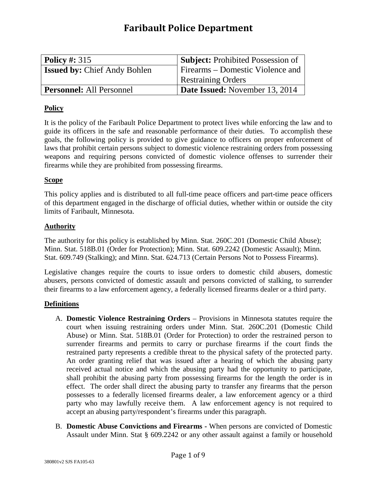### **Faribault Police Department**

| <b>Policy #: 315</b>                | <b>Subject:</b> Prohibited Possession of |
|-------------------------------------|------------------------------------------|
| <b>Issued by: Chief Andy Bohlen</b> | <b>Firearms</b> – Domestic Violence and  |
|                                     | <b>Restraining Orders</b>                |
| <b>Personnel:</b> All Personnel     | Date Issued: November 13, 2014           |

#### **Policy**

It is the policy of the Faribault Police Department to protect lives while enforcing the law and to guide its officers in the safe and reasonable performance of their duties. To accomplish these goals, the following policy is provided to give guidance to officers on proper enforcement of laws that prohibit certain persons subject to domestic violence restraining orders from possessing weapons and requiring persons convicted of domestic violence offenses to surrender their firearms while they are prohibited from possessing firearms.

#### **Scope**

This policy applies and is distributed to all full-time peace officers and part-time peace officers of this department engaged in the discharge of official duties, whether within or outside the city limits of Faribault, Minnesota.

#### **Authority**

The authority for this policy is established by Minn. Stat. 260C.201 (Domestic Child Abuse); Minn. Stat. 518B.01 (Order for Protection); Minn. Stat. 609.2242 (Domestic Assault); Minn. Stat. 609.749 (Stalking); and Minn. Stat. 624.713 (Certain Persons Not to Possess Firearms).

Legislative changes require the courts to issue orders to domestic child abusers, domestic abusers, persons convicted of domestic assault and persons convicted of stalking, to surrender their firearms to a law enforcement agency, a federally licensed firearms dealer or a third party.

#### **Definitions**

- A. **Domestic Violence Restraining Orders** Provisions in Minnesota statutes require the court when issuing restraining orders under Minn. Stat. 260C.201 (Domestic Child Abuse) or Minn. Stat. 518B.01 (Order for Protection) to order the restrained person to surrender firearms and permits to carry or purchase firearms if the court finds the restrained party represents a credible threat to the physical safety of the protected party. An order granting relief that was issued after a hearing of which the abusing party received actual notice and which the abusing party had the opportunity to participate, shall prohibit the abusing party from possessing firearms for the length the order is in effect. The order shall direct the abusing party to transfer any firearms that the person possesses to a federally licensed firearms dealer, a law enforcement agency or a third party who may lawfully receive them. A law enforcement agency is not required to accept an abusing party/respondent's firearms under this paragraph.
- B. **Domestic Abuse Convictions and Firearms -** When persons are convicted of Domestic Assault under Minn. Stat § 609.2242 or any other assault against a family or household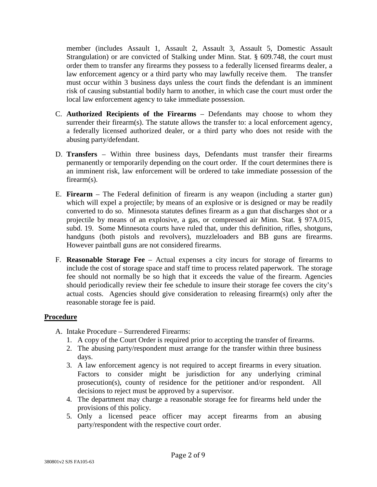member (includes Assault 1, Assault 2, Assault 3, Assault 5, Domestic Assault Strangulation) or are convicted of Stalking under Minn. Stat. § 609.748, the court must order them to transfer any firearms they possess to a federally licensed firearms dealer, a law enforcement agency or a third party who may lawfully receive them. The transfer must occur within 3 business days unless the court finds the defendant is an imminent risk of causing substantial bodily harm to another, in which case the court must order the local law enforcement agency to take immediate possession.

- C. **Authorized Recipients of the Firearms** Defendants may choose to whom they surrender their firearm(s). The statute allows the transfer to: a local enforcement agency, a federally licensed authorized dealer, or a third party who does not reside with the abusing party/defendant.
- D. **Transfers** Within three business days, Defendants must transfer their firearms permanently or temporarily depending on the court order. If the court determines there is an imminent risk, law enforcement will be ordered to take immediate possession of the firearm(s).
- E. **Firearm** The Federal definition of firearm is any weapon (including a starter gun) which will expel a projectile; by means of an explosive or is designed or may be readily converted to do so. Minnesota statutes defines firearm as a gun that discharges shot or a projectile by means of an explosive, a gas, or compressed air Minn. Stat. § 97A.015, subd. 19. Some Minnesota courts have ruled that, under this definition, rifles, shotguns, handguns (both pistols and revolvers), muzzleloaders and BB guns are firearms. However paintball guns are not considered firearms.
- F. **Reasonable Storage Fee** Actual expenses a city incurs for storage of firearms to include the cost of storage space and staff time to process related paperwork. The storage fee should not normally be so high that it exceeds the value of the firearm. Agencies should periodically review their fee schedule to insure their storage fee covers the city's actual costs. Agencies should give consideration to releasing firearm(s) only after the reasonable storage fee is paid.

#### **Procedure**

- A. Intake Procedure Surrendered Firearms:
	- 1. A copy of the Court Order is required prior to accepting the transfer of firearms.
	- 2. The abusing party/respondent must arrange for the transfer within three business days.
	- 3. A law enforcement agency is not required to accept firearms in every situation. Factors to consider might be jurisdiction for any underlying criminal prosecution(s), county of residence for the petitioner and/or respondent. All decisions to reject must be approved by a supervisor.
	- 4. The department may charge a reasonable storage fee for firearms held under the provisions of this policy.
	- 5. Only a licensed peace officer may accept firearms from an abusing party/respondent with the respective court order.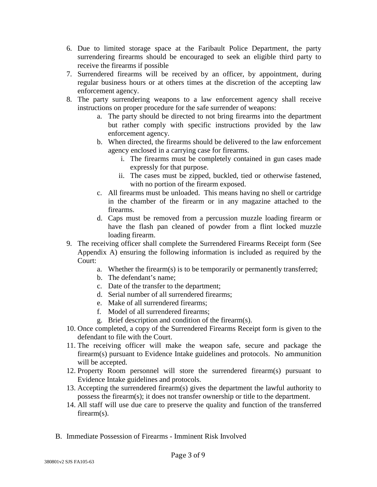- 6. Due to limited storage space at the Faribault Police Department, the party surrendering firearms should be encouraged to seek an eligible third party to receive the firearms if possible
- 7. Surrendered firearms will be received by an officer, by appointment, during regular business hours or at others times at the discretion of the accepting law enforcement agency.
- 8. The party surrendering weapons to a law enforcement agency shall receive instructions on proper procedure for the safe surrender of weapons:
	- a. The party should be directed to not bring firearms into the department but rather comply with specific instructions provided by the law enforcement agency.
	- b. When directed, the firearms should be delivered to the law enforcement agency enclosed in a carrying case for firearms.
		- i. The firearms must be completely contained in gun cases made expressly for that purpose.
		- ii. The cases must be zipped, buckled, tied or otherwise fastened, with no portion of the firearm exposed.
	- c. All firearms must be unloaded. This means having no shell or cartridge in the chamber of the firearm or in any magazine attached to the firearms.
	- d. Caps must be removed from a percussion muzzle loading firearm or have the flash pan cleaned of powder from a flint locked muzzle loading firearm.
- 9. The receiving officer shall complete the Surrendered Firearms Receipt form (See Appendix A) ensuring the following information is included as required by the Court:
	- a. Whether the firearm(s) is to be temporarily or permanently transferred;
	- b. The defendant's name;
	- c. Date of the transfer to the department;
	- d. Serial number of all surrendered firearms;
	- e. Make of all surrendered firearms;
	- f. Model of all surrendered firearms;
	- g. Brief description and condition of the firearm(s).
- 10. Once completed, a copy of the Surrendered Firearms Receipt form is given to the defendant to file with the Court.
- 11. The receiving officer will make the weapon safe, secure and package the firearm(s) pursuant to Evidence Intake guidelines and protocols. No ammunition will be accepted.
- 12. Property Room personnel will store the surrendered firearm(s) pursuant to Evidence Intake guidelines and protocols.
- 13. Accepting the surrendered firearm(s) gives the department the lawful authority to possess the firearm(s); it does not transfer ownership or title to the department.
- 14. All staff will use due care to preserve the quality and function of the transferred firearm(s).
- B. Immediate Possession of Firearms Imminent Risk Involved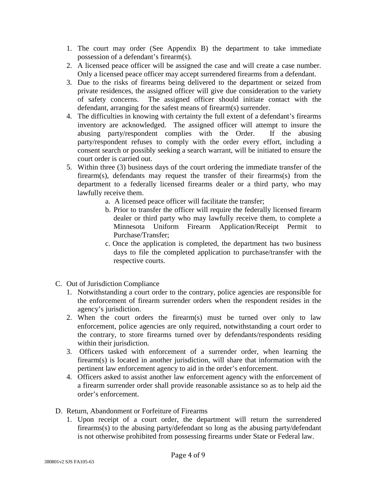- 1. The court may order (See Appendix B) the department to take immediate possession of a defendant's firearm(s).
- 2. A licensed peace officer will be assigned the case and will create a case number. Only a licensed peace officer may accept surrendered firearms from a defendant.
- 3. Due to the risks of firearms being delivered to the department or seized from private residences, the assigned officer will give due consideration to the variety of safety concerns. The assigned officer should initiate contact with the defendant, arranging for the safest means of firearm(s) surrender.
- 4. The difficulties in knowing with certainty the full extent of a defendant's firearms inventory are acknowledged. The assigned officer will attempt to insure the abusing party/respondent complies with the Order. If the abusing party/respondent refuses to comply with the order every effort, including a consent search or possibly seeking a search warrant, will be initiated to ensure the court order is carried out.
- 5. Within three (3) business days of the court ordering the immediate transfer of the firearm(s), defendants may request the transfer of their firearms(s) from the department to a federally licensed firearms dealer or a third party, who may lawfully receive them.
	- a. A licensed peace officer will facilitate the transfer;
	- b. Prior to transfer the officer will require the federally licensed firearm dealer or third party who may lawfully receive them, to complete a Minnesota Uniform Firearm Application/Receipt Permit to Purchase/Transfer;
	- c. Once the application is completed, the department has two business days to file the completed application to purchase/transfer with the respective courts.
- C. Out of Jurisdiction Compliance
	- 1. Notwithstanding a court order to the contrary, police agencies are responsible for the enforcement of firearm surrender orders when the respondent resides in the agency's jurisdiction.
	- 2. When the court orders the firearm(s) must be turned over only to law enforcement, police agencies are only required, notwithstanding a court order to the contrary, to store firearms turned over by defendants/respondents residing within their jurisdiction.
	- 3. Officers tasked with enforcement of a surrender order, when learning the firearm(s) is located in another jurisdiction, will share that information with the pertinent law enforcement agency to aid in the order's enforcement.
	- 4. Officers asked to assist another law enforcement agency with the enforcement of a firearm surrender order shall provide reasonable assistance so as to help aid the order's enforcement.
- D. Return, Abandonment or Forfeiture of Firearms
	- 1. Upon receipt of a court order, the department will return the surrendered firearms(s) to the abusing party/defendant so long as the abusing party/defendant is not otherwise prohibited from possessing firearms under State or Federal law.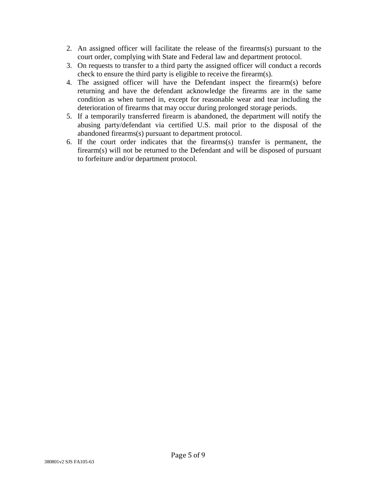- 2. An assigned officer will facilitate the release of the firearms(s) pursuant to the court order, complying with State and Federal law and department protocol.
- 3. On requests to transfer to a third party the assigned officer will conduct a records check to ensure the third party is eligible to receive the firearm(s).
- 4. The assigned officer will have the Defendant inspect the firearm(s) before returning and have the defendant acknowledge the firearms are in the same condition as when turned in, except for reasonable wear and tear including the deterioration of firearms that may occur during prolonged storage periods.
- 5. If a temporarily transferred firearm is abandoned, the department will notify the abusing party/defendant via certified U.S. mail prior to the disposal of the abandoned firearms(s) pursuant to department protocol.
- 6. If the court order indicates that the firearms(s) transfer is permanent, the firearm(s) will not be returned to the Defendant and will be disposed of pursuant to forfeiture and/or department protocol.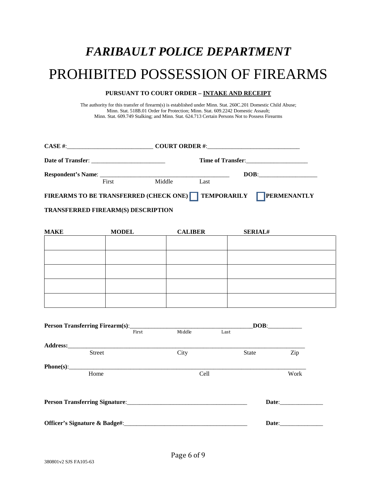## *FARIBAULT POLICE DEPARTMENT*

## PROHIBITED POSSESSION OF FIREARMS

#### **PURSUANT TO COURT ORDER – INTAKE AND RECEIPT**

The authority for this transfer of firearm(s) is established under Minn. Stat. 260C.201 Domestic Child Abuse; Minn. Stat. 518B.01 Order for Protection; Minn. Stat. 609.2242 Domestic Assault; Minn. Stat. 609.749 Stalking; and Minn. Stat. 624.713 Certain Persons Not to Possess Firearms

|                                                                                 |       |        |      | Time of Transfer: |
|---------------------------------------------------------------------------------|-------|--------|------|-------------------|
|                                                                                 | First | Middle | Last | DOB:              |
| <b>FIREARMS TO BE TRANSFERRED (CHECK ONE)</b> TEMPORARILY<br><b>PERMENANTLY</b> |       |        |      |                   |

#### **TRANSFERRED FIREARM(S) DESCRIPTION**

| <b>MAKE</b> | <b>MODEL</b> | <b>CALIBER</b> | <b>SERIAL#</b> |
|-------------|--------------|----------------|----------------|
|             |              |                |                |
|             |              |                |                |
|             |              |                |                |
|             |              |                |                |
|             |              |                |                |
|             |              |                |                |
|             |              |                |                |
|             |              |                |                |
|             |              |                |                |
|             |              |                |                |

|               |       |        | $\overline{\text{DOB}}$ : |       |       |
|---------------|-------|--------|---------------------------|-------|-------|
|               | First | Middle | Last                      |       |       |
|               |       |        |                           |       |       |
| <b>Street</b> |       | City   |                           | State | Zip   |
|               |       |        |                           |       |       |
| Home          |       | Cell   |                           |       | Work  |
|               |       |        |                           |       |       |
|               |       |        |                           |       | Date: |
|               |       |        |                           |       |       |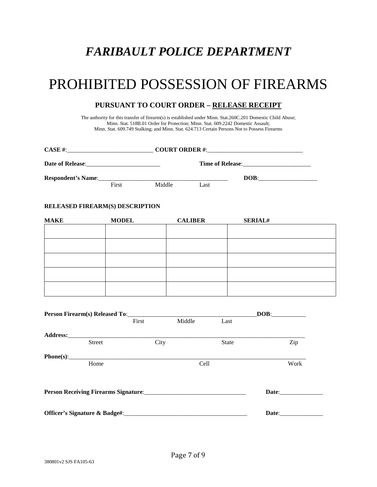## *FARIBAULT POLICE DEPARTMENT*

## PROHIBITED POSSESSION OF FIREARMS

#### **PURSUANT TO COURT ORDER – RELEASE RECEIPT**

The authority for this transfer of firearm(s) is established under Minn. Stat.260C.201 Domestic Child Abuse; Minn. Stat. 518B.01 Order for Protection; Minn. Stat. 609.2242 Domestic Assault; Minn. Stat. 609.749 Stalking; and Minn. Stat. 624.713 Certain Persons Not to Possess Firearms

|                               |                                 |        |                |                | $\mathbf{DOB:}\qquad \qquad \overbrace{\qquad \qquad }$ |  |
|-------------------------------|---------------------------------|--------|----------------|----------------|---------------------------------------------------------|--|
|                               | First                           | Middle | Last           |                |                                                         |  |
|                               | RELEASED FIREARM(S) DESCRIPTION |        |                |                |                                                         |  |
| <b>MAKE</b>                   | <b>MODEL</b>                    |        | <b>CALIBER</b> | <b>SERIAL#</b> |                                                         |  |
|                               |                                 |        |                |                |                                                         |  |
|                               |                                 |        |                |                |                                                         |  |
|                               |                                 |        |                |                |                                                         |  |
|                               |                                 |        |                |                |                                                         |  |
|                               |                                 |        |                |                |                                                         |  |
|                               |                                 |        |                |                |                                                         |  |
|                               |                                 |        |                |                | $\overline{\text{DOB}}$ :                               |  |
|                               | First                           | Middle | Last           |                |                                                         |  |
|                               |                                 |        |                |                |                                                         |  |
|                               | <b>Street</b>                   | City   |                | <b>State</b>   | Zip                                                     |  |
|                               | Phone(s):<br>Home               |        | Cell           |                | Work                                                    |  |
|                               |                                 |        |                |                | Date: 1988                                              |  |
| Officer's Signature & Badge#: |                                 |        |                | Date:          |                                                         |  |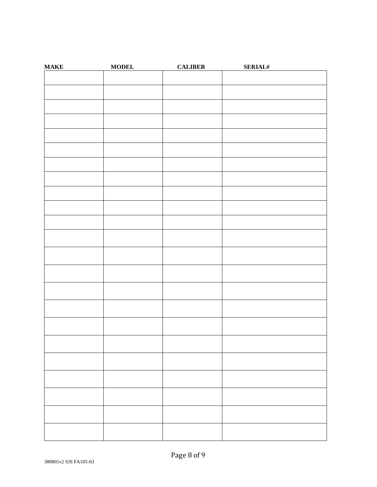| <b>MAKE</b> | <b>MODEL</b> | <b>CALIBER</b> | <b>SERIAL#</b> |
|-------------|--------------|----------------|----------------|
|             |              |                |                |
|             |              |                |                |
|             |              |                |                |
|             |              |                |                |
|             |              |                |                |
|             |              |                |                |
|             |              |                |                |
|             |              |                |                |
|             |              |                |                |
|             |              |                |                |
|             |              |                |                |
|             |              |                |                |
|             |              |                |                |
|             |              |                |                |
|             |              |                |                |
|             |              |                |                |
|             |              |                |                |
|             |              |                |                |
|             |              |                |                |
|             |              |                |                |
|             |              |                |                |
|             |              |                |                |
|             |              |                |                |
|             |              |                |                |
|             |              |                |                |
|             |              |                |                |